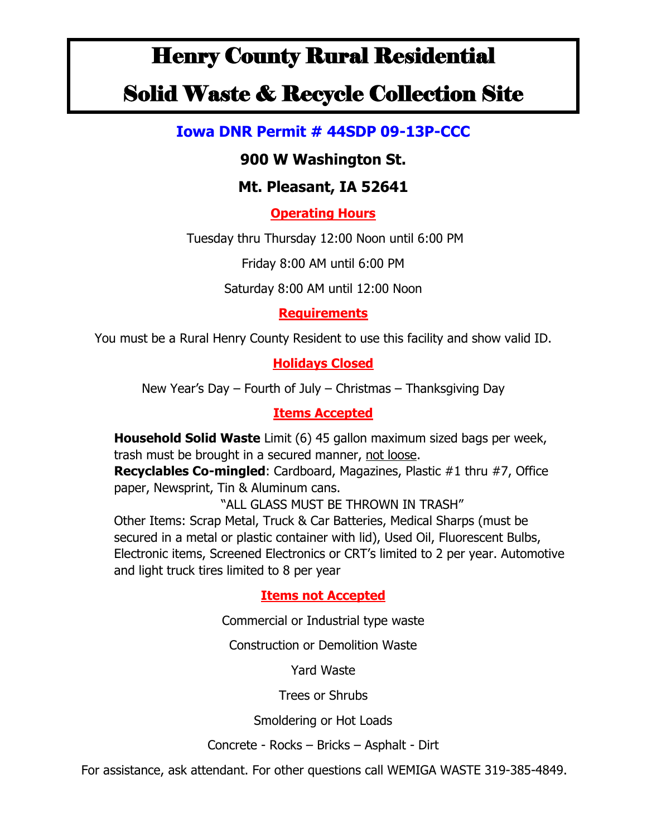# Henry County Rural Residential

## Solid Waste & Recycle Collection Site

## **Iowa DNR Permit # 44SDP 09-13P-CCC**

## **900 W Washington St.**

## **Mt. Pleasant, IA 52641**

**Operating Hours**

Tuesday thru Thursday 12:00 Noon until 6:00 PM

Friday 8:00 AM until 6:00 PM

Saturday 8:00 AM until 12:00 Noon

#### **Requirements**

You must be a Rural Henry County Resident to use this facility and show valid ID.

#### **Holidays Closed**

New Year's Day – Fourth of July – Christmas – Thanksgiving Day

#### **Items Accepted**

**Household Solid Waste** Limit (6) 45 gallon maximum sized bags per week, trash must be brought in a secured manner, not loose.

**Recyclables Co-mingled**: Cardboard, Magazines, Plastic #1 thru #7, Office paper, Newsprint, Tin & Aluminum cans.

"ALL GLASS MUST BE THROWN IN TRASH" Other Items: Scrap Metal, Truck & Car Batteries, Medical Sharps (must be secured in a metal or plastic container with lid), Used Oil, Fluorescent Bulbs, Electronic items, Screened Electronics or CRT's limited to 2 per year. Automotive and light truck tires limited to 8 per year

#### **Items not Accepted**

Commercial or Industrial type waste

Construction or Demolition Waste

Yard Waste

Trees or Shrubs

Smoldering or Hot Loads

Concrete - Rocks – Bricks – Asphalt - Dirt

For assistance, ask attendant. For other questions call WEMIGA WASTE 319-385-4849.